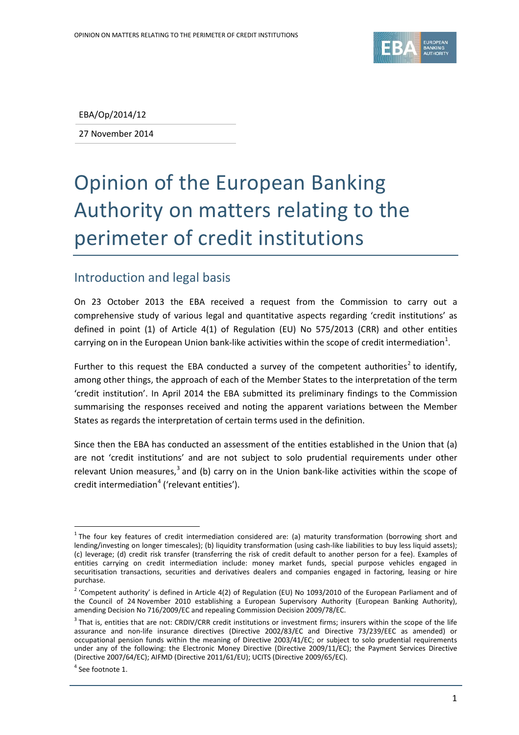

EBA/Op/2014/12

27 November 2014

# Opinion of the European Banking Authority on matters relating to the perimeter of credit institutions

#### Introduction and legal basis

On 23 October 2013 the EBA received a request from the Commission to carry out a comprehensive study of various legal and quantitative aspects regarding 'credit institutions' as defined in point (1) of Article 4(1) of Regulation (EU) No 575/2013 (CRR) and other entities carrying on in the European Union bank-like activities within the scope of credit intermediation<sup>[1](#page-0-0)</sup>.

Further to this request the EBA conducted a survey of the competent authorities<sup>[2](#page-0-1)</sup> to identify, among other things, the approach of each of the Member States to the interpretation of the term 'credit institution'. In April 2014 the EBA submitted its preliminary findings to the Commission summarising the responses received and noting the apparent variations between the Member States as regards the interpretation of certain terms used in the definition.

Since then the EBA has conducted an assessment of the entities established in the Union that (a) are not 'credit institutions' and are not subject to solo prudential requirements under other relevant Union measures,<sup>[3](#page-0-2)</sup> and (b) carry on in the Union bank-like activities within the scope of credit intermediation<sup>[4](#page-0-3)</sup> ('relevant entities').

 $\overline{a}$ 

<span id="page-0-0"></span> $1$  The four key features of credit intermediation considered are: (a) maturity transformation (borrowing short and lending/investing on longer timescales); (b) liquidity transformation (using cash-like liabilities to buy less liquid assets); (c) leverage; (d) credit risk transfer (transferring the risk of credit default to another person for a fee). Examples of entities carrying on credit intermediation include: money market funds, special purpose vehicles engaged in securitisation transactions, securities and derivatives dealers and companies engaged in factoring, leasing or hire purchase.

<span id="page-0-1"></span> $2$  'Competent authority' is defined in Article 4(2) of Regulation (EU) No 1093/2010 of the European Parliament and of the Council of 24 November 2010 establishing a European Supervisory Authority (European Banking Authority), amending Decision No 716/2009/EC and repealing Commission Decision 2009/78/EC.

<span id="page-0-2"></span> $3$  That is, entities that are not: CRDIV/CRR credit institutions or investment firms; insurers within the scope of the life assurance and non-life insurance directives (Directive 2002/83/EC and Directive 73/239/EEC as amended) or occupational pension funds within the meaning of Directive 2003/41/EC; or subject to solo prudential requirements under any of the following: the Electronic Money Directive (Directive 2009/11/EC); the Payment Services Directive (Directive 2007/64/EC); AIFMD (Directive 2011/61/EU); UCITS (Directive 2009/65/EC).

<span id="page-0-3"></span> $4$  See footnote 1.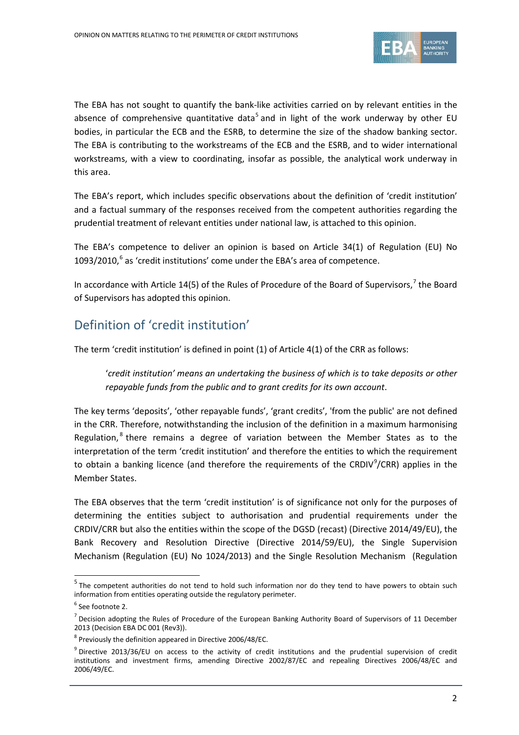

The EBA has not sought to quantify the bank-like activities carried on by relevant entities in the absence of comprehensive quantitative data<sup>[5](#page-1-0)</sup> and in light of the work underway by other EU bodies, in particular the ECB and the ESRB, to determine the size of the shadow banking sector. The EBA is contributing to the workstreams of the ECB and the ESRB, and to wider international workstreams, with a view to coordinating, insofar as possible, the analytical work underway in this area.

The EBA's report, which includes specific observations about the definition of 'credit institution' and a factual summary of the responses received from the competent authorities regarding the prudential treatment of relevant entities under national law, is attached to this opinion.

The EBA's competence to deliver an opinion is based on Article 34(1) of Regulation (EU) No 1093/2010, [6](#page-1-1) as 'credit institutions' come under the EBA's area of competence.

In accordance with Article 14(5) of the Rules of Procedure of the Board of Supervisors,<sup>[7](#page-1-2)</sup> the Board of Supervisors has adopted this opinion.

## Definition of 'credit institution'

The term 'credit institution' is defined in point (1) of Article 4(1) of the CRR as follows:

'*credit institution' means an undertaking the business of which is to take deposits or other repayable funds from the public and to grant credits for its own account*.

The key terms 'deposits', 'other repayable funds', 'grant credits', 'from the public' are not defined in the CRR. Therefore, notwithstanding the inclusion of the definition in a maximum harmonising Regulation, $<sup>8</sup>$  $<sup>8</sup>$  $<sup>8</sup>$  there remains a degree of variation between the Member States as to the</sup> interpretation of the term 'credit institution' and therefore the entities to which the requirement to obtain a banking licence (and therefore the requirements of the CRDIV<sup>[9](#page-1-4)</sup>/CRR) applies in the Member States.

The EBA observes that the term 'credit institution' is of significance not only for the purposes of determining the entities subject to authorisation and prudential requirements under the CRDIV/CRR but also the entities within the scope of the DGSD (recast) (Directive 2014/49/EU), the Bank Recovery and Resolution Directive (Directive 2014/59/EU), the Single Supervision Mechanism (Regulation (EU) No 1024/2013) and the Single Resolution Mechanism (Regulation

 $\overline{a}$ 

<span id="page-1-0"></span><sup>&</sup>lt;sup>5</sup> The competent authorities do not tend to hold such information nor do they tend to have powers to obtain such information from entities operating outside the regulatory perimeter.

<span id="page-1-1"></span><sup>6</sup> See footnote 2.

<span id="page-1-2"></span> $<sup>7</sup>$  Decision adopting the Rules of Procedure of the European Banking Authority Board of Supervisors of 11 December</sup> 2013 (Decision EBA DC 001 (Rev3)).

<span id="page-1-3"></span> $8$  Previously the definition appeared in Directive 2006/48/EC.

<span id="page-1-4"></span><sup>9</sup> Directive 2013/36/EU on access to the activity of credit institutions and the prudential supervision of credit institutions and investment firms, amending Directive 2002/87/EC and repealing Directives 2006/48/EC and 2006/49/EC.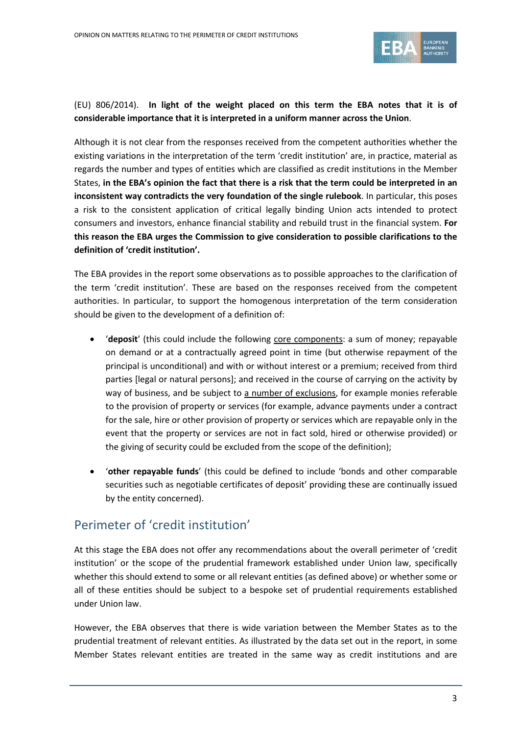

#### (EU) 806/2014). **In light of the weight placed on this term the EBA notes that it is of considerable importance that it is interpreted in a uniform manner across the Union**.

Although it is not clear from the responses received from the competent authorities whether the existing variations in the interpretation of the term 'credit institution' are, in practice, material as regards the number and types of entities which are classified as credit institutions in the Member States, **in the EBA's opinion the fact that there is a risk that the term could be interpreted in an inconsistent way contradicts the very foundation of the single rulebook**. In particular, this poses a risk to the consistent application of critical legally binding Union acts intended to protect consumers and investors, enhance financial stability and rebuild trust in the financial system. **For this reason the EBA urges the Commission to give consideration to possible clarifications to the definition of 'credit institution'.**

The EBA provides in the report some observations as to possible approaches to the clarification of the term 'credit institution'. These are based on the responses received from the competent authorities. In particular, to support the homogenous interpretation of the term consideration should be given to the development of a definition of:

- '**deposit**' (this could include the following core components: a sum of money; repayable on demand or at a contractually agreed point in time (but otherwise repayment of the principal is unconditional) and with or without interest or a premium; received from third parties [legal or natural persons]; and received in the course of carrying on the activity by way of business, and be subject to a number of exclusions, for example monies referable to the provision of property or services (for example, advance payments under a contract for the sale, hire or other provision of property or services which are repayable only in the event that the property or services are not in fact sold, hired or otherwise provided) or the giving of security could be excluded from the scope of the definition);
- '**other repayable funds**' (this could be defined to include 'bonds and other comparable securities such as negotiable certificates of deposit' providing these are continually issued by the entity concerned).

### Perimeter of 'credit institution'

At this stage the EBA does not offer any recommendations about the overall perimeter of 'credit institution' or the scope of the prudential framework established under Union law, specifically whether this should extend to some or all relevant entities (as defined above) or whether some or all of these entities should be subject to a bespoke set of prudential requirements established under Union law.

However, the EBA observes that there is wide variation between the Member States as to the prudential treatment of relevant entities. As illustrated by the data set out in the report, in some Member States relevant entities are treated in the same way as credit institutions and are